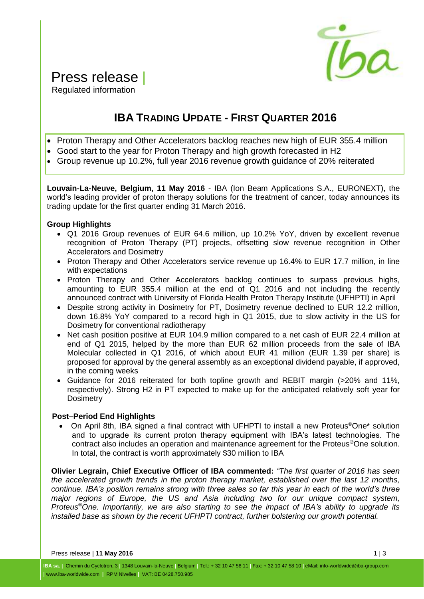

# Press release |

Regulated information

### **IBA TRADING UPDATE - FIRST QUARTER 2016**

- Proton Therapy and Other Accelerators backlog reaches new high of EUR 355.4 million
- Good start to the year for Proton Therapy and high growth forecasted in H2
- Group revenue up 10.2%, full year 2016 revenue growth guidance of 20% reiterated

**Louvain-La-Neuve, Belgium, 11 May 2016** - IBA (Ion Beam Applications S.A., EURONEXT), the world's leading provider of proton therapy solutions for the treatment of cancer, today announces its trading update for the first quarter ending 31 March 2016.

#### **Group Highlights**

- Q1 2016 Group revenues of EUR 64.6 million, up 10.2% YoY, driven by excellent revenue recognition of Proton Therapy (PT) projects, offsetting slow revenue recognition in Other Accelerators and Dosimetry
- Proton Therapy and Other Accelerators service revenue up 16.4% to EUR 17.7 million, in line with expectations
- Proton Therapy and Other Accelerators backlog continues to surpass previous highs, amounting to EUR 355.4 million at the end of Q1 2016 and not including the recently announced contract with University of Florida Health Proton Therapy Institute (UFHPTI) in April
- Despite strong activity in Dosimetry for PT, Dosimetry revenue declined to EUR 12.2 million, down 16.8% YoY compared to a record high in Q1 2015, due to slow activity in the US for Dosimetry for conventional radiotherapy
- Net cash position positive at EUR 104.9 million compared to a net cash of EUR 22.4 million at end of Q1 2015, helped by the more than EUR 62 million proceeds from the sale of IBA Molecular collected in Q1 2016, of which about EUR 41 million (EUR 1.39 per share) is proposed for approval by the general assembly as an exceptional dividend payable, if approved, in the coming weeks
- Guidance for 2016 reiterated for both topline growth and REBIT margin (>20% and 11%, respectively). Strong H2 in PT expected to make up for the anticipated relatively soft year for **Dosimetry**

#### **Post–Period End Highlights**

● On April 8th, IBA signed a final contract with UFHPTI to install a new Proteus<sup>®</sup>One<sup>\*</sup> solution and to upgrade its current proton therapy equipment with IBA's latest technologies. The contract also includes an operation and maintenance agreement for the Proteus®One solution. In total, the contract is worth approximately \$30 million to IBA

**Olivier Legrain, Chief Executive Officer of IBA commented:** *"The first quarter of 2016 has seen the accelerated growth trends in the proton therapy market, established over the last 12 months, continue. IBA's position remains strong with three sales so far this year in each of the world's three major regions of Europe, the US and Asia including two for our unique compact system, Proteus®One. Importantly, we are also starting to see the impact of IBA's ability to upgrade its installed base as shown by the recent UFHPTI contract, further bolstering our growth potential.*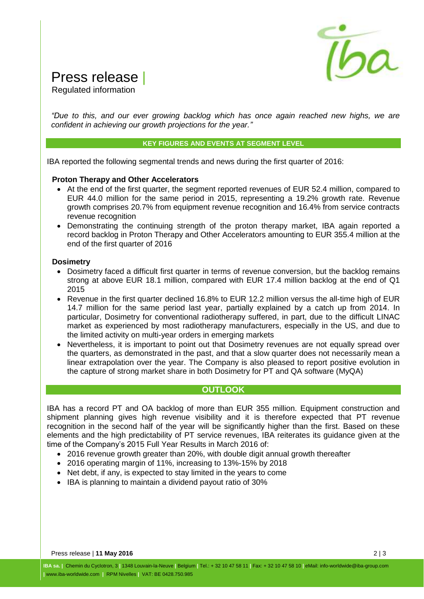

# Press release |

Regulated information

*"Due to this, and our ever growing backlog which has once again reached new highs, we are confident in achieving our growth projections for the year."*

#### **KEY FIGURES AND EVENTS AT SEGMENT LEVEL**

IBA reported the following segmental trends and news during the first quarter of 2016:

#### **Proton Therapy and Other Accelerators**

- At the end of the first quarter, the segment reported revenues of EUR 52.4 million, compared to EUR 44.0 million for the same period in 2015, representing a 19.2% growth rate. Revenue growth comprises 20.7% from equipment revenue recognition and 16.4% from service contracts revenue recognition
- Demonstrating the continuing strength of the proton therapy market, IBA again reported a record backlog in Proton Therapy and Other Accelerators amounting to EUR 355.4 million at the end of the first quarter of 2016

#### **Dosimetry**

- Dosimetry faced a difficult first quarter in terms of revenue conversion, but the backlog remains strong at above EUR 18.1 million, compared with EUR 17.4 million backlog at the end of Q1 2015
- Revenue in the first quarter declined 16.8% to EUR 12.2 million versus the all-time high of EUR 14.7 million for the same period last year, partially explained by a catch up from 2014. In particular, Dosimetry for conventional radiotherapy suffered, in part, due to the difficult LINAC market as experienced by most radiotherapy manufacturers, especially in the US, and due to the limited activity on multi-year orders in emerging markets
- Nevertheless, it is important to point out that Dosimetry revenues are not equally spread over the quarters, as demonstrated in the past, and that a slow quarter does not necessarily mean a linear extrapolation over the year. The Company is also pleased to report positive evolution in the capture of strong market share in both Dosimetry for PT and QA software (MyQA)

#### **OUTLOOK**

IBA has a record PT and OA backlog of more than EUR 355 million. Equipment construction and shipment planning gives high revenue visibility and it is therefore expected that PT revenue recognition in the second half of the year will be significantly higher than the first. Based on these elements and the high predictability of PT service revenues, IBA reiterates its guidance given at the time of the Company's 2015 Full Year Results in March 2016 of:

- 2016 revenue growth greater than 20%, with double digit annual growth thereafter
- 2016 operating margin of 11%, increasing to 13%-15% by 2018
- Net debt, if any, is expected to stay limited in the years to come
- IBA is planning to maintain a dividend payout ratio of 30%